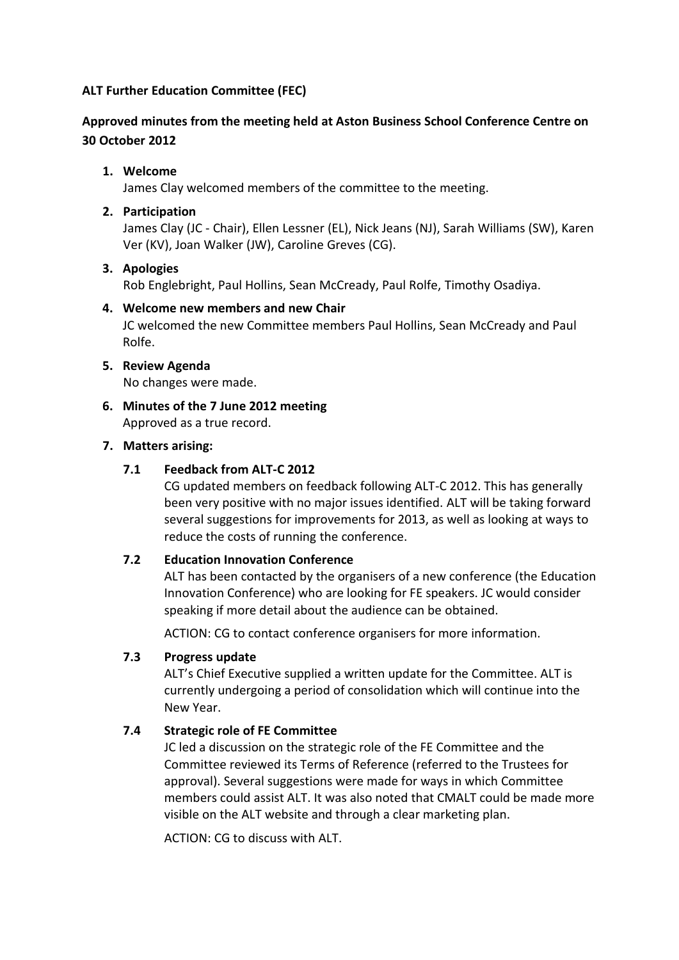## **ALT Further Education Committee (FEC)**

## **Approved minutes from the meeting held at Aston Business School Conference Centre on 30 October 2012**

## **1. Welcome**

James Clay welcomed members of the committee to the meeting.

## **2. Participation**

James Clay (JC - Chair), Ellen Lessner (EL), Nick Jeans (NJ), Sarah Williams (SW), Karen Ver (KV), Joan Walker (JW), Caroline Greves (CG).

### **3. Apologies**

Rob Englebright, Paul Hollins, Sean McCready, Paul Rolfe, Timothy Osadiya.

### **4. Welcome new members and new Chair**

JC welcomed the new Committee members Paul Hollins, Sean McCready and Paul Rolfe.

## **5. Review Agenda**

No changes were made.

**6. Minutes of the 7 June 2012 meeting** Approved as a true record.

### **7. Matters arising:**

### **7.1 Feedback from ALT-C 2012**

CG updated members on feedback following ALT-C 2012. This has generally been very positive with no major issues identified. ALT will be taking forward several suggestions for improvements for 2013, as well as looking at ways to reduce the costs of running the conference.

#### **7.2 Education Innovation Conference**

ALT has been contacted by the organisers of a new conference (the Education Innovation Conference) who are looking for FE speakers. JC would consider speaking if more detail about the audience can be obtained.

ACTION: CG to contact conference organisers for more information.

## **7.3 Progress update**

ALT's Chief Executive supplied a written update for the Committee. ALT is currently undergoing a period of consolidation which will continue into the New Year.

## **7.4 Strategic role of FE Committee**

JC led a discussion on the strategic role of the FE Committee and the Committee reviewed its Terms of Reference (referred to the Trustees for approval). Several suggestions were made for ways in which Committee members could assist ALT. It was also noted that CMALT could be made more visible on the ALT website and through a clear marketing plan.

ACTION: CG to discuss with ALT.